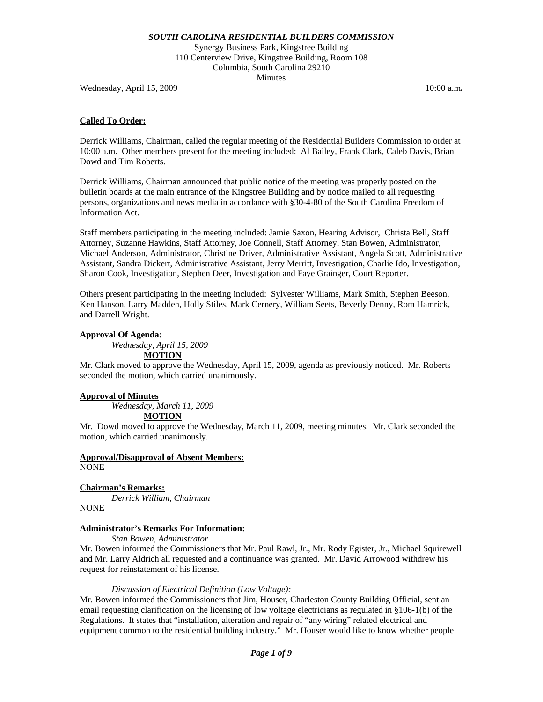Synergy Business Park, Kingstree Building 110 Centerview Drive, Kingstree Building, Room 108 Columbia, South Carolina 29210 Minutes

**\_\_\_\_\_\_\_\_\_\_\_\_\_\_\_\_\_\_\_\_\_\_\_\_\_\_\_\_\_\_\_\_\_\_\_\_\_\_\_\_\_\_\_\_\_\_\_\_\_\_\_\_\_\_\_\_\_\_\_\_\_\_\_\_\_\_\_\_\_\_\_\_\_\_\_\_\_\_\_\_\_\_\_\_\_\_** 

Wednesday, April 15, 2009 **10:00 a.m. 10:00 a.m. 10:00 a.m. 10:00 a.m.** 

## **Called To Order:**

Derrick Williams, Chairman, called the regular meeting of the Residential Builders Commission to order at 10:00 a.m. Other members present for the meeting included: Al Bailey, Frank Clark, Caleb Davis, Brian Dowd and Tim Roberts.

Derrick Williams, Chairman announced that public notice of the meeting was properly posted on the bulletin boards at the main entrance of the Kingstree Building and by notice mailed to all requesting persons, organizations and news media in accordance with §30-4-80 of the South Carolina Freedom of Information Act.

Staff members participating in the meeting included: Jamie Saxon, Hearing Advisor, Christa Bell, Staff Attorney, Suzanne Hawkins, Staff Attorney, Joe Connell, Staff Attorney, Stan Bowen, Administrator, Michael Anderson, Administrator, Christine Driver, Administrative Assistant, Angela Scott, Administrative Assistant, Sandra Dickert, Administrative Assistant, Jerry Merritt, Investigation, Charlie Ido, Investigation, Sharon Cook, Investigation, Stephen Deer, Investigation and Faye Grainger, Court Reporter.

Others present participating in the meeting included: Sylvester Williams, Mark Smith, Stephen Beeson, Ken Hanson, Larry Madden, Holly Stiles, Mark Cernery, William Seets, Beverly Denny, Rom Hamrick, and Darrell Wright.

## **Approval Of Agenda**:

*Wednesday, April 15, 2009* 

## **MOTION**

Mr. Clark moved to approve the Wednesday, April 15, 2009, agenda as previously noticed. Mr. Roberts seconded the motion, which carried unanimously.

### **Approval of Minutes**

 *Wednesday, March 11, 2009* **MOTION**

Mr. Dowd moved to approve the Wednesday, March 11, 2009, meeting minutes. Mr. Clark seconded the motion, which carried unanimously.

# **Approval/Disapproval of Absent Members:**

NONE

## **Chairman's Remarks:**

*Derrick William, Chairman* 

NONE

## **Administrator's Remarks For Information:**

 *Stan Bowen, Administrator* 

Mr. Bowen informed the Commissioners that Mr. Paul Rawl, Jr., Mr. Rody Egister, Jr., Michael Squirewell and Mr. Larry Aldrich all requested and a continuance was granted. Mr. David Arrowood withdrew his request for reinstatement of his license.

### *Discussion of Electrical Definition (Low Voltage):*

Mr. Bowen informed the Commissioners that Jim, Houser, Charleston County Building Official, sent an email requesting clarification on the licensing of low voltage electricians as regulated in §106-1(b) of the Regulations. It states that "installation, alteration and repair of "any wiring" related electrical and equipment common to the residential building industry." Mr. Houser would like to know whether people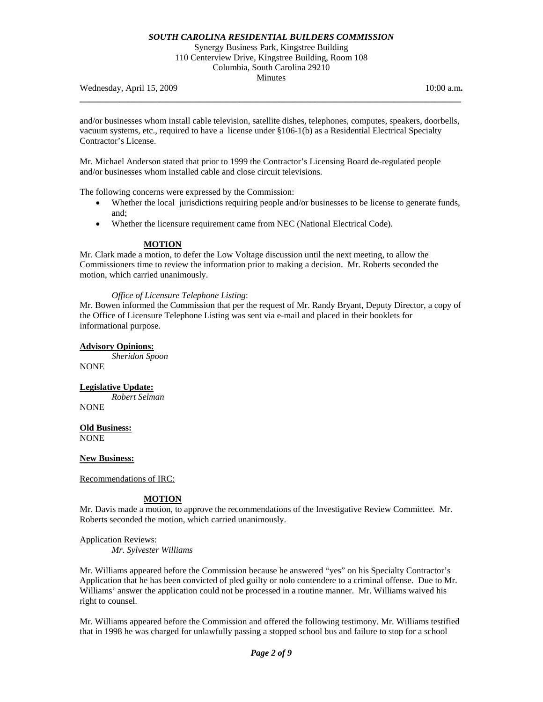Synergy Business Park, Kingstree Building 110 Centerview Drive, Kingstree Building, Room 108 Columbia, South Carolina 29210 Minutes

Wednesday, April 15, 2009 **10:00 a.m. 10:00 a.m. 10:00 a.m. 10:00 a.m.** 

and/or businesses whom install cable television, satellite dishes, telephones, computes, speakers, doorbells, vacuum systems, etc., required to have a license under §106-1(b) as a Residential Electrical Specialty Contractor's License.

**\_\_\_\_\_\_\_\_\_\_\_\_\_\_\_\_\_\_\_\_\_\_\_\_\_\_\_\_\_\_\_\_\_\_\_\_\_\_\_\_\_\_\_\_\_\_\_\_\_\_\_\_\_\_\_\_\_\_\_\_\_\_\_\_\_\_\_\_\_\_\_\_\_\_\_\_\_\_\_\_\_\_\_\_\_\_** 

Mr. Michael Anderson stated that prior to 1999 the Contractor's Licensing Board de-regulated people and/or businesses whom installed cable and close circuit televisions.

The following concerns were expressed by the Commission:

- Whether the local jurisdictions requiring people and/or businesses to be license to generate funds, and;
- Whether the licensure requirement came from NEC (National Electrical Code).

### **MOTION**

Mr. Clark made a motion, to defer the Low Voltage discussion until the next meeting, to allow the Commissioners time to review the information prior to making a decision. Mr. Roberts seconded the motion, which carried unanimously.

#### *Office of Licensure Telephone Listing*:

Mr. Bowen informed the Commission that per the request of Mr. Randy Bryant, Deputy Director, a copy of the Office of Licensure Telephone Listing was sent via e-mail and placed in their booklets for informational purpose.

## **Advisory Opinions:**

*Sheridon Spoon*  NONE

**Legislative Update:**  *Robert Selman* 

**NONE** 

**Old Business:** NONE

**New Business:**

Recommendations of IRC:

## **MOTION**

Mr. Davis made a motion, to approve the recommendations of the Investigative Review Committee. Mr. Roberts seconded the motion, which carried unanimously.

### Application Reviews:

 *Mr. Sylvester Williams* 

Mr. Williams appeared before the Commission because he answered "yes" on his Specialty Contractor's Application that he has been convicted of pled guilty or nolo contendere to a criminal offense. Due to Mr. Williams' answer the application could not be processed in a routine manner. Mr. Williams waived his right to counsel.

Mr. Williams appeared before the Commission and offered the following testimony. Mr. Williams testified that in 1998 he was charged for unlawfully passing a stopped school bus and failure to stop for a school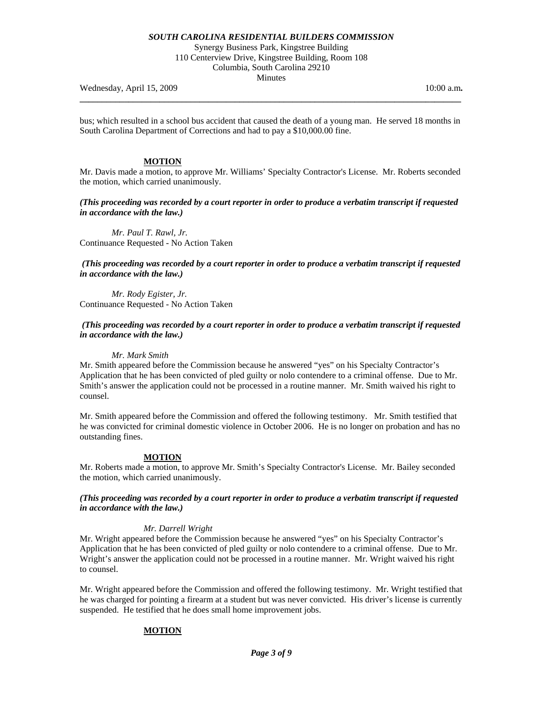Synergy Business Park, Kingstree Building 110 Centerview Drive, Kingstree Building, Room 108 Columbia, South Carolina 29210 Minutes

Wednesday, April 15, 2009 **10:00 a.m. 10:00 a.m. 10:00 a.m. 10:00 a.m.** 

bus; which resulted in a school bus accident that caused the death of a young man. He served 18 months in South Carolina Department of Corrections and had to pay a \$10,000.00 fine.

**\_\_\_\_\_\_\_\_\_\_\_\_\_\_\_\_\_\_\_\_\_\_\_\_\_\_\_\_\_\_\_\_\_\_\_\_\_\_\_\_\_\_\_\_\_\_\_\_\_\_\_\_\_\_\_\_\_\_\_\_\_\_\_\_\_\_\_\_\_\_\_\_\_\_\_\_\_\_\_\_\_\_\_\_\_\_** 

## **MOTION**

Mr. Davis made a motion, to approve Mr. Williams' Specialty Contractor's License. Mr. Roberts seconded the motion, which carried unanimously.

*(This proceeding was recorded by a court reporter in order to produce a verbatim transcript if requested in accordance with the law.)* 

*Mr. Paul T. Rawl, Jr.*  Continuance Requested - No Action Taken

 *(This proceeding was recorded by a court reporter in order to produce a verbatim transcript if requested in accordance with the law.)* 

*Mr. Rody Egister, Jr.*  Continuance Requested - No Action Taken

### *(This proceeding was recorded by a court reporter in order to produce a verbatim transcript if requested in accordance with the law.)*

#### *Mr. Mark Smith*

Mr. Smith appeared before the Commission because he answered "yes" on his Specialty Contractor's Application that he has been convicted of pled guilty or nolo contendere to a criminal offense. Due to Mr. Smith's answer the application could not be processed in a routine manner. Mr. Smith waived his right to counsel.

Mr. Smith appeared before the Commission and offered the following testimony. Mr. Smith testified that he was convicted for criminal domestic violence in October 2006. He is no longer on probation and has no outstanding fines.

## **MOTION**

Mr. Roberts made a motion, to approve Mr. Smith's Specialty Contractor's License. Mr. Bailey seconded the motion, which carried unanimously.

### *(This proceeding was recorded by a court reporter in order to produce a verbatim transcript if requested in accordance with the law.)*

### *Mr. Darrell Wright*

Mr. Wright appeared before the Commission because he answered "yes" on his Specialty Contractor's Application that he has been convicted of pled guilty or nolo contendere to a criminal offense. Due to Mr. Wright's answer the application could not be processed in a routine manner. Mr. Wright waived his right to counsel.

Mr. Wright appeared before the Commission and offered the following testimony. Mr. Wright testified that he was charged for pointing a firearm at a student but was never convicted. His driver's license is currently suspended. He testified that he does small home improvement jobs.

### **MOTION**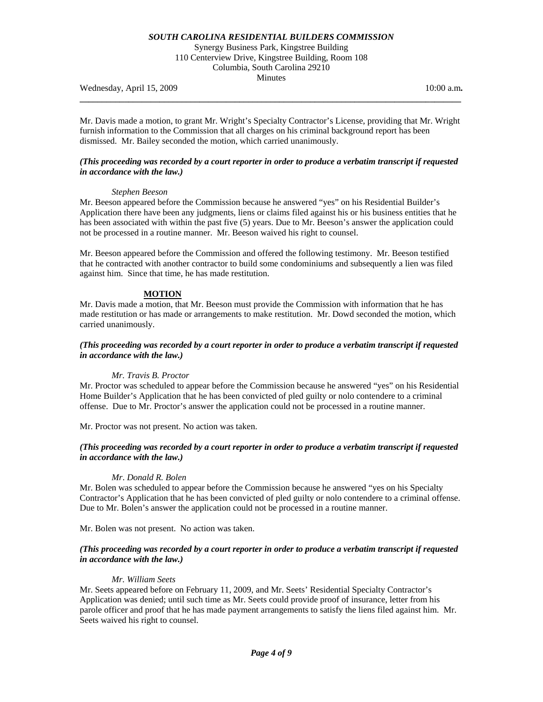Synergy Business Park, Kingstree Building 110 Centerview Drive, Kingstree Building, Room 108 Columbia, South Carolina 29210 Minutes

Wednesday, April 15, 2009 **10:00 a.m. 10:00 a.m. 10:00 a.m. 10:00 a.m.** 

Mr. Davis made a motion, to grant Mr. Wright's Specialty Contractor's License, providing that Mr. Wright furnish information to the Commission that all charges on his criminal background report has been dismissed. Mr. Bailey seconded the motion, which carried unanimously.

**\_\_\_\_\_\_\_\_\_\_\_\_\_\_\_\_\_\_\_\_\_\_\_\_\_\_\_\_\_\_\_\_\_\_\_\_\_\_\_\_\_\_\_\_\_\_\_\_\_\_\_\_\_\_\_\_\_\_\_\_\_\_\_\_\_\_\_\_\_\_\_\_\_\_\_\_\_\_\_\_\_\_\_\_\_\_** 

## *(This proceeding was recorded by a court reporter in order to produce a verbatim transcript if requested in accordance with the law.)*

### *Stephen Beeson*

Mr. Beeson appeared before the Commission because he answered "yes" on his Residential Builder's Application there have been any judgments, liens or claims filed against his or his business entities that he has been associated with within the past five (5) years. Due to Mr. Beeson's answer the application could not be processed in a routine manner. Mr. Beeson waived his right to counsel.

Mr. Beeson appeared before the Commission and offered the following testimony. Mr. Beeson testified that he contracted with another contractor to build some condominiums and subsequently a lien was filed against him. Since that time, he has made restitution.

### **MOTION**

Mr. Davis made a motion, that Mr. Beeson must provide the Commission with information that he has made restitution or has made or arrangements to make restitution. Mr. Dowd seconded the motion, which carried unanimously.

## *(This proceeding was recorded by a court reporter in order to produce a verbatim transcript if requested in accordance with the law.)*

### *Mr. Travis B. Proctor*

Mr. Proctor was scheduled to appear before the Commission because he answered "yes" on his Residential Home Builder's Application that he has been convicted of pled guilty or nolo contendere to a criminal offense. Due to Mr. Proctor's answer the application could not be processed in a routine manner.

Mr. Proctor was not present. No action was taken.

## *(This proceeding was recorded by a court reporter in order to produce a verbatim transcript if requested in accordance with the law.)*

### *Mr*. *Donald R. Bolen*

Mr. Bolen was scheduled to appear before the Commission because he answered "yes on his Specialty Contractor's Application that he has been convicted of pled guilty or nolo contendere to a criminal offense. Due to Mr. Bolen's answer the application could not be processed in a routine manner.

Mr. Bolen was not present. No action was taken.

## *(This proceeding was recorded by a court reporter in order to produce a verbatim transcript if requested in accordance with the law.)*

### *Mr. William Seets*

Mr. Seets appeared before on February 11, 2009, and Mr. Seets' Residential Specialty Contractor's Application was denied; until such time as Mr. Seets could provide proof of insurance, letter from his parole officer and proof that he has made payment arrangements to satisfy the liens filed against him. Mr. Seets waived his right to counsel.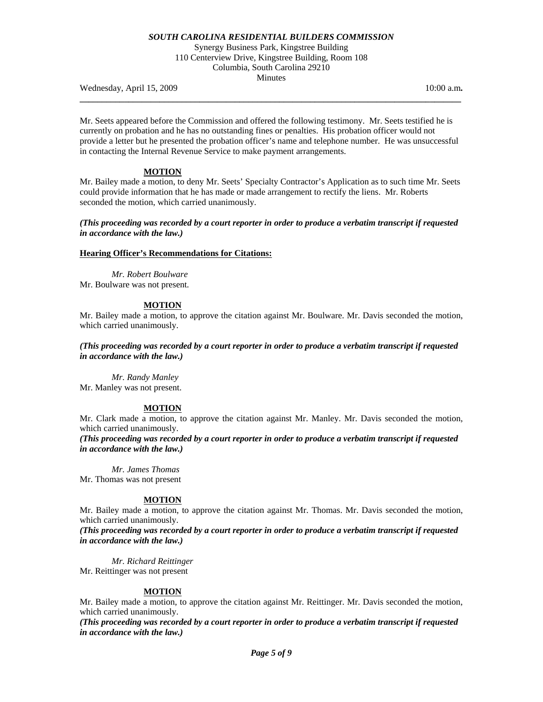Synergy Business Park, Kingstree Building 110 Centerview Drive, Kingstree Building, Room 108 Columbia, South Carolina 29210 Minutes

**\_\_\_\_\_\_\_\_\_\_\_\_\_\_\_\_\_\_\_\_\_\_\_\_\_\_\_\_\_\_\_\_\_\_\_\_\_\_\_\_\_\_\_\_\_\_\_\_\_\_\_\_\_\_\_\_\_\_\_\_\_\_\_\_\_\_\_\_\_\_\_\_\_\_\_\_\_\_\_\_\_\_\_\_\_\_** 

Wednesday, April 15, 2009 10:00 a.m. **10:00 a.m. 10:00 a.m. 10:00 a.m.** 

Mr. Seets appeared before the Commission and offered the following testimony. Mr. Seets testified he is currently on probation and he has no outstanding fines or penalties. His probation officer would not provide a letter but he presented the probation officer's name and telephone number. He was unsuccessful in contacting the Internal Revenue Service to make payment arrangements.

#### **MOTION**

Mr. Bailey made a motion, to deny Mr. Seets' Specialty Contractor's Application as to such time Mr. Seets could provide information that he has made or made arrangement to rectify the liens. Mr. Roberts seconded the motion, which carried unanimously.

*(This proceeding was recorded by a court reporter in order to produce a verbatim transcript if requested in accordance with the law.)* 

#### **Hearing Officer's Recommendations for Citations:**

*Mr. Robert Boulware*  Mr. Boulware was not present.

#### **MOTION**

Mr. Bailey made a motion, to approve the citation against Mr. Boulware. Mr. Davis seconded the motion, which carried unanimously.

*(This proceeding was recorded by a court reporter in order to produce a verbatim transcript if requested in accordance with the law.)* 

*Mr. Randy Manley*  Mr. Manley was not present.

### **MOTION**

Mr. Clark made a motion, to approve the citation against Mr. Manley. Mr. Davis seconded the motion, which carried unanimously.

*(This proceeding was recorded by a court reporter in order to produce a verbatim transcript if requested in accordance with the law.)* 

*Mr. James Thomas*  Mr. Thomas was not present

### **MOTION**

Mr. Bailey made a motion, to approve the citation against Mr. Thomas. Mr. Davis seconded the motion, which carried unanimously.

*(This proceeding was recorded by a court reporter in order to produce a verbatim transcript if requested in accordance with the law.)* 

*Mr. Richard Reittinger* 

Mr. Reittinger was not present

## **MOTION**

Mr. Bailey made a motion, to approve the citation against Mr. Reittinger. Mr. Davis seconded the motion, which carried unanimously.

*(This proceeding was recorded by a court reporter in order to produce a verbatim transcript if requested in accordance with the law.)*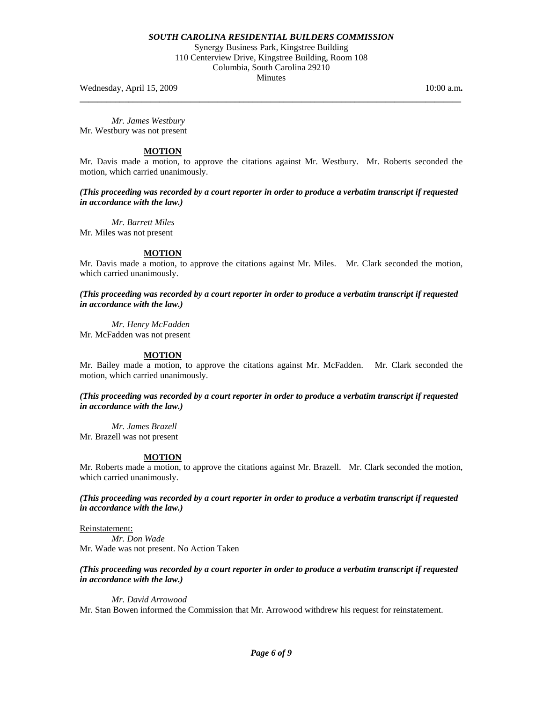Synergy Business Park, Kingstree Building 110 Centerview Drive, Kingstree Building, Room 108 Columbia, South Carolina 29210 Minutes

**\_\_\_\_\_\_\_\_\_\_\_\_\_\_\_\_\_\_\_\_\_\_\_\_\_\_\_\_\_\_\_\_\_\_\_\_\_\_\_\_\_\_\_\_\_\_\_\_\_\_\_\_\_\_\_\_\_\_\_\_\_\_\_\_\_\_\_\_\_\_\_\_\_\_\_\_\_\_\_\_\_\_\_\_\_\_** 

Wednesday, April 15, 2009 **10:00 a.m. 10:00 a.m. 10:00 a.m. 10:00 a.m.** 

*Mr. James Westbury*  Mr. Westbury was not present

## **MOTION**

Mr. Davis made a motion, to approve the citations against Mr. Westbury. Mr. Roberts seconded the motion, which carried unanimously.

*(This proceeding was recorded by a court reporter in order to produce a verbatim transcript if requested in accordance with the law.)* 

*Mr. Barrett Miles* Mr. Miles was not present

## **MOTION**

Mr. Davis made a motion, to approve the citations against Mr. Miles. Mr. Clark seconded the motion, which carried unanimously.

*(This proceeding was recorded by a court reporter in order to produce a verbatim transcript if requested in accordance with the law.)* 

 *Mr. Henry McFadden* Mr. McFadden was not present

## **MOTION**

Mr. Bailey made a motion, to approve the citations against Mr. McFadden. Mr. Clark seconded the motion, which carried unanimously.

*(This proceeding was recorded by a court reporter in order to produce a verbatim transcript if requested in accordance with the law.)* 

*Mr. James Brazell*  Mr. Brazell was not present

## **MOTION**

Mr. Roberts made a motion, to approve the citations against Mr. Brazell. Mr. Clark seconded the motion, which carried unanimously.

*(This proceeding was recorded by a court reporter in order to produce a verbatim transcript if requested in accordance with the law.)* 

Reinstatement:  *Mr. Don Wade*  Mr. Wade was not present. No Action Taken

## *(This proceeding was recorded by a court reporter in order to produce a verbatim transcript if requested in accordance with the law.)*

 *Mr. David Arrowood*  Mr. Stan Bowen informed the Commission that Mr. Arrowood withdrew his request for reinstatement.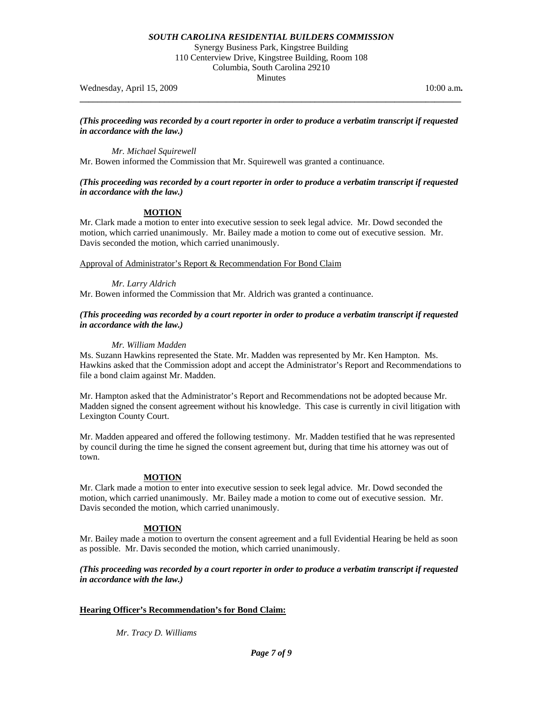Synergy Business Park, Kingstree Building 110 Centerview Drive, Kingstree Building, Room 108 Columbia, South Carolina 29210 Minutes

Wednesday, April 15, 2009 **10:00 a.m. 10:00 a.m. 10:00 a.m. 10:00 a.m.** 

*(This proceeding was recorded by a court reporter in order to produce a verbatim transcript if requested in accordance with the law.)* 

**\_\_\_\_\_\_\_\_\_\_\_\_\_\_\_\_\_\_\_\_\_\_\_\_\_\_\_\_\_\_\_\_\_\_\_\_\_\_\_\_\_\_\_\_\_\_\_\_\_\_\_\_\_\_\_\_\_\_\_\_\_\_\_\_\_\_\_\_\_\_\_\_\_\_\_\_\_\_\_\_\_\_\_\_\_\_** 

*Mr. Michael Squirewell* 

Mr. Bowen informed the Commission that Mr. Squirewell was granted a continuance.

## *(This proceeding was recorded by a court reporter in order to produce a verbatim transcript if requested in accordance with the law.)*

# **MOTION**

Mr. Clark made a motion to enter into executive session to seek legal advice. Mr. Dowd seconded the motion, which carried unanimously. Mr. Bailey made a motion to come out of executive session. Mr. Davis seconded the motion, which carried unanimously.

Approval of Administrator's Report & Recommendation For Bond Claim

## *Mr. Larry Aldrich*

Mr. Bowen informed the Commission that Mr. Aldrich was granted a continuance.

## *(This proceeding was recorded by a court reporter in order to produce a verbatim transcript if requested in accordance with the law.)*

## *Mr. William Madden*

Ms. Suzann Hawkins represented the State. Mr. Madden was represented by Mr. Ken Hampton. Ms. Hawkins asked that the Commission adopt and accept the Administrator's Report and Recommendations to file a bond claim against Mr. Madden.

Mr. Hampton asked that the Administrator's Report and Recommendations not be adopted because Mr. Madden signed the consent agreement without his knowledge. This case is currently in civil litigation with Lexington County Court.

Mr. Madden appeared and offered the following testimony. Mr. Madden testified that he was represented by council during the time he signed the consent agreement but, during that time his attorney was out of town.

## **MOTION**

Mr. Clark made a motion to enter into executive session to seek legal advice. Mr. Dowd seconded the motion, which carried unanimously. Mr. Bailey made a motion to come out of executive session. Mr. Davis seconded the motion, which carried unanimously.

## **MOTION**

Mr. Bailey made a motion to overturn the consent agreement and a full Evidential Hearing be held as soon as possible. Mr. Davis seconded the motion, which carried unanimously.

*(This proceeding was recorded by a court reporter in order to produce a verbatim transcript if requested in accordance with the law.)* 

## **Hearing Officer's Recommendation's for Bond Claim:**

 *Mr. Tracy D. Williams*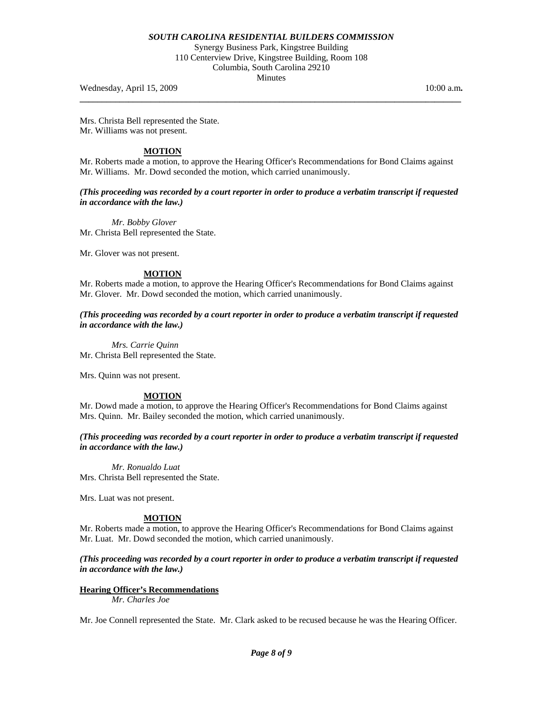Synergy Business Park, Kingstree Building 110 Centerview Drive, Kingstree Building, Room 108 Columbia, South Carolina 29210 Minutes

**\_\_\_\_\_\_\_\_\_\_\_\_\_\_\_\_\_\_\_\_\_\_\_\_\_\_\_\_\_\_\_\_\_\_\_\_\_\_\_\_\_\_\_\_\_\_\_\_\_\_\_\_\_\_\_\_\_\_\_\_\_\_\_\_\_\_\_\_\_\_\_\_\_\_\_\_\_\_\_\_\_\_\_\_\_\_** 

Wednesday, April 15, 2009 10:00 a.m. **10:00 a.m. 10:00 a.m. 10:00 a.m.** 

Mrs. Christa Bell represented the State. Mr. Williams was not present.

## **MOTION**

Mr. Roberts made a motion, to approve the Hearing Officer's Recommendations for Bond Claims against Mr. Williams. Mr. Dowd seconded the motion, which carried unanimously.

*(This proceeding was recorded by a court reporter in order to produce a verbatim transcript if requested in accordance with the law.)* 

 *Mr. Bobby Glover*  Mr. Christa Bell represented the State.

Mr. Glover was not present.

## **MOTION**

Mr. Roberts made a motion, to approve the Hearing Officer's Recommendations for Bond Claims against Mr. Glover. Mr. Dowd seconded the motion, which carried unanimously.

*(This proceeding was recorded by a court reporter in order to produce a verbatim transcript if requested in accordance with the law.)* 

 *Mrs. Carrie Quinn*  Mr. Christa Bell represented the State.

Mrs. Quinn was not present.

## **MOTION**

Mr. Dowd made a motion, to approve the Hearing Officer's Recommendations for Bond Claims against Mrs. Quinn. Mr. Bailey seconded the motion, which carried unanimously.

*(This proceeding was recorded by a court reporter in order to produce a verbatim transcript if requested in accordance with the law.)* 

 *Mr. Ronualdo Luat*  Mrs. Christa Bell represented the State.

Mrs. Luat was not present.

### **MOTION**

Mr. Roberts made a motion, to approve the Hearing Officer's Recommendations for Bond Claims against Mr. Luat. Mr. Dowd seconded the motion, which carried unanimously.

## *(This proceeding was recorded by a court reporter in order to produce a verbatim transcript if requested in accordance with the law.)*

## **Hearing Officer's Recommendations**

*Mr. Charles Joe* 

Mr. Joe Connell represented the State. Mr. Clark asked to be recused because he was the Hearing Officer.